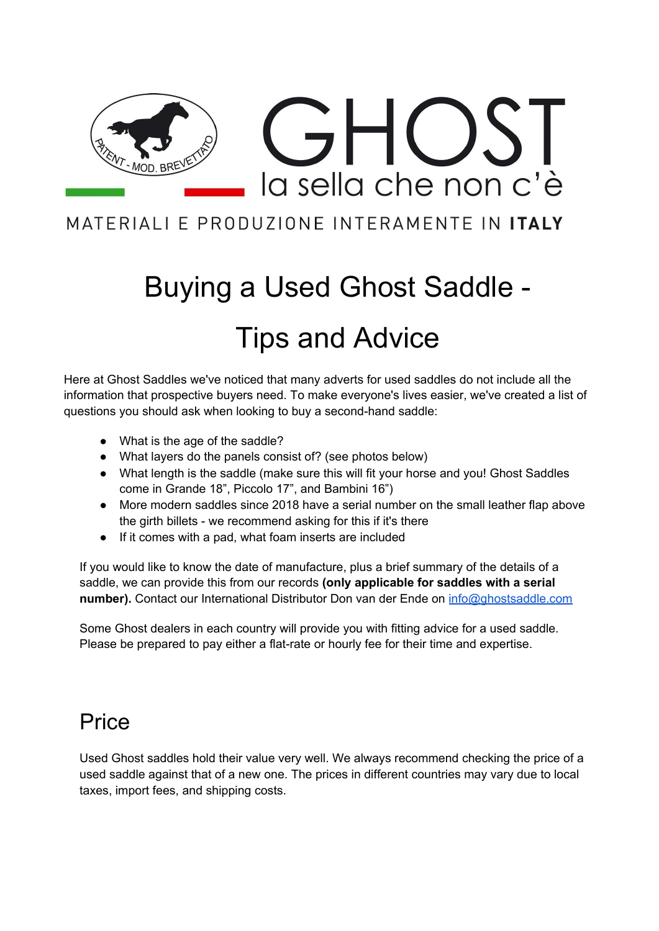

### MATERIALI E PRODUZIONE INTERAMENTE IN ITALY

# Buying a Used Ghost Saddle - Tips and Advice

Here at Ghost Saddles we've noticed that many adverts for used saddles do not include all the information that prospective buyers need. To make everyone's lives easier, we've created a list of questions you should ask when looking to buy a second-hand saddle:

- What is the age of the saddle?
- What layers do the panels consist of? (see photos below)
- What length is the saddle (make sure this will fit your horse and you! Ghost Saddles come in Grande 18", Piccolo 17", and Bambini 16")
- More modern saddles since 2018 have a serial number on the small leather flap above the girth billets - we recommend asking for this if it's there
- If it comes with a pad, what foam inserts are included

If you would like to know the date of manufacture, plus a brief summary of the details of a saddle, we can provide this from our records **(only applicable for saddles with a serial number).** Contact our International Distributor Don van der Ende on [info@ghostsaddle.com](mailto:info@ghostsaddle.com)

Some Ghost dealers in each country will provide you with fitting advice for a used saddle. Please be prepared to pay either a flat-rate or hourly fee for their time and expertise.

## Price

Used Ghost saddles hold their value very well. We always recommend checking the price of a used saddle against that of a new one. The prices in different countries may vary due to local taxes, import fees, and shipping costs.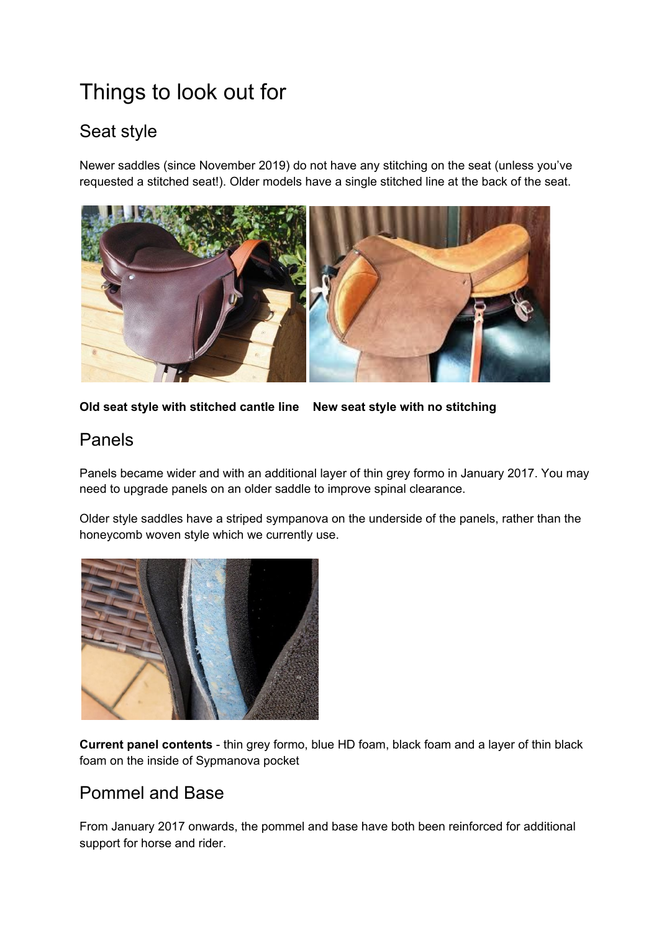# Things to look out for

#### Seat style

Newer saddles (since November 2019) do not have any stitching on the seat (unless you've requested a stitched seat!). Older models have a single stitched line at the back of the seat.



**Old seat style with stitched cantle line New seat style with no stitching**

#### Panels

Panels became wider and with an additional layer of thin grey formo in January 2017. You may need to upgrade panels on an older saddle to improve spinal clearance.

Older style saddles have a striped sympanova on the underside of the panels, rather than the honeycomb woven style which we currently use.



**Current panel contents** - thin grey formo, blue HD foam, black foam and a layer of thin black foam on the inside of Sypmanova pocket

#### Pommel and Base

From January 2017 onwards, the pommel and base have both been reinforced for additional support for horse and rider.